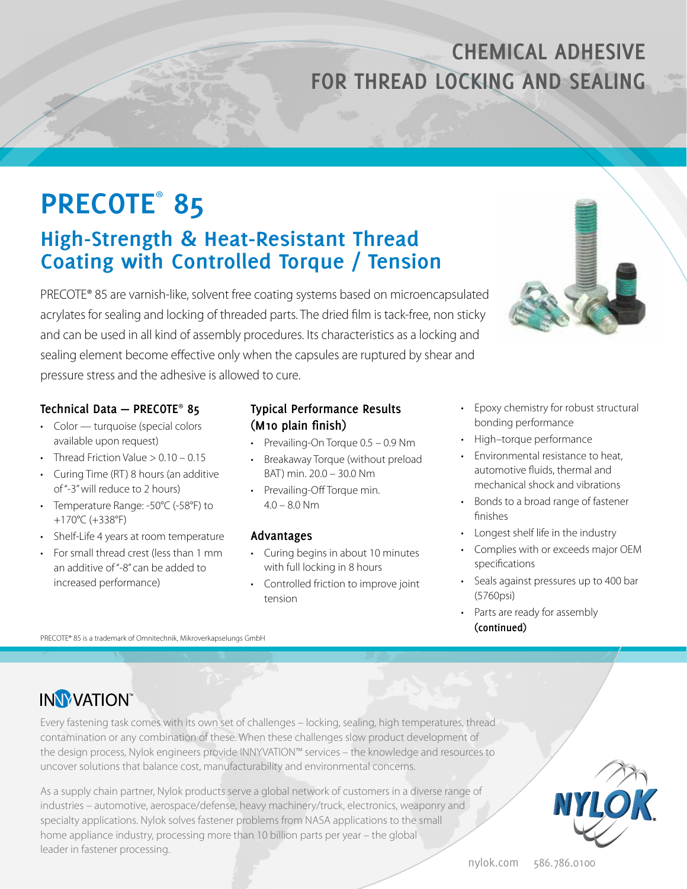## **CHEMICAL ADHESIVE FOR THREAD LOCKING AND SEALING**

# **PRECOTE**®  **85**

### **High-Strength & Heat-Resistant Thread Coating with Controlled Torque / Tension**

PRECOTE® 85 are varnish-like, solvent free coating systems based on microencapsulated acrylates for sealing and locking of threaded parts. The dried film is tack-free, non sticky and can be used in all kind of assembly procedures. Its characteristics as a locking and sealing element become effective only when the capsules are ruptured by shear and pressure stress and the adhesive is allowed to cure.

### **Technical Data — PRECOTE**® **85**

- Color turquoise (special colors available upon request)
- Thread Friction Value  $> 0.10 0.15$
- Curing Time (RT) 8 hours (an additive of "-3" will reduce to 2 hours)
- Temperature Range: -50°C (-58°F) to +170°C (+338°F)
- Shelf-Life 4 years at room temperature
- For small thread crest (less than 1 mm an additive of "-8" can be added to increased performance)

### **Typical Performance Results (M10 plain finish)**

- Prevailing-On Torque 0.5 0.9 Nm
- Breakaway Torque (without preload BAT) min. 20.0 – 30.0 Nm
- Prevailing-Off Torque min.  $4.0 - 8.0$  Nm

### **Advantages**

- Curing begins in about 10 minutes with full locking in 8 hours
- Controlled friction to improve joint tension
- Epoxy chemistry for robust structural bonding performance
- High–torque performance
- Environmental resistance to heat, automotive fluids, thermal and mechanical shock and vibrations
- Bonds to a broad range of fastener finishes
- Longest shelf life in the industry
- Complies with or exceeds major OEM specifications
- Seals against pressures up to 400 bar (5760psi)
- Parts are ready for assembly **(continued)**

PRECOTE® 85 is a trademark of Omnitechnik, Mikroverkapselungs GmbH



Every fastening task comes with its own set of challenges – locking, sealing, high temperatures, thread contamination or any combination of these. When these challenges slow product development of the design process, Nylok engineers provide INNYVATION™ services – the knowledge and resources to uncover solutions that balance cost, manufacturability and environmental concerns.

As a supply chain partner, Nylok products serve a global network of customers in a diverse range of industries – automotive, aerospace/defense, heavy machinery/truck, electronics, weaponry and specialty applications. Nylok solves fastener problems from NASA applications to the small home appliance industry, processing more than 10 billion parts per year – the global leader in fastener processing.